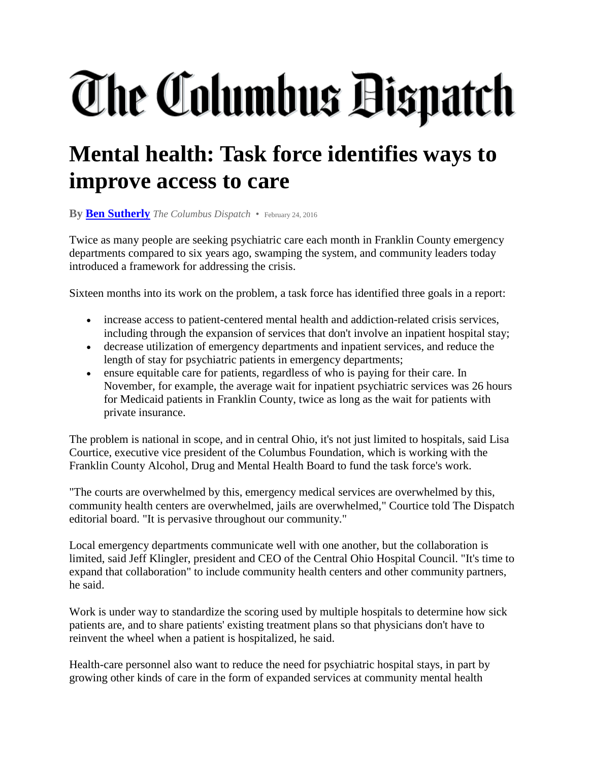## The Columbus Bispatch

## **Mental health: Task force identifies ways to improve access to care**

**By [Ben Sutherly](mailto:bsutherly@dispatch.com)** *The Columbus Dispatch* • February 24, 2016

Twice as many people are seeking psychiatric care each month in Franklin County emergency departments compared to six years ago, swamping the system, and community leaders today introduced a framework for addressing the crisis.

Sixteen months into its work on the problem, a task force has identified three goals in a report:

- increase access to patient-centered mental health and addiction-related crisis services, including through the expansion of services that don't involve an inpatient hospital stay;
- decrease utilization of emergency departments and inpatient services, and reduce the length of stay for psychiatric patients in emergency departments;
- ensure equitable care for patients, regardless of who is paying for their care. In November, for example, the average wait for inpatient psychiatric services was 26 hours for Medicaid patients in Franklin County, twice as long as the wait for patients with private insurance.

The problem is national in scope, and in central Ohio, it's not just limited to hospitals, said Lisa Courtice, executive vice president of the Columbus Foundation, which is working with the Franklin County Alcohol, Drug and Mental Health Board to fund the task force's work.

"The courts are overwhelmed by this, emergency medical services are overwhelmed by this, community health centers are overwhelmed, jails are overwhelmed," Courtice told The Dispatch editorial board. "It is pervasive throughout our community."

Local emergency departments communicate well with one another, but the collaboration is limited, said Jeff Klingler, president and CEO of the Central Ohio Hospital Council. "It's time to expand that collaboration" to include community health centers and other community partners, he said.

Work is under way to standardize the scoring used by multiple hospitals to determine how sick patients are, and to share patients' existing treatment plans so that physicians don't have to reinvent the wheel when a patient is hospitalized, he said.

Health-care personnel also want to reduce the need for psychiatric hospital stays, in part by growing other kinds of care in the form of expanded services at community mental health